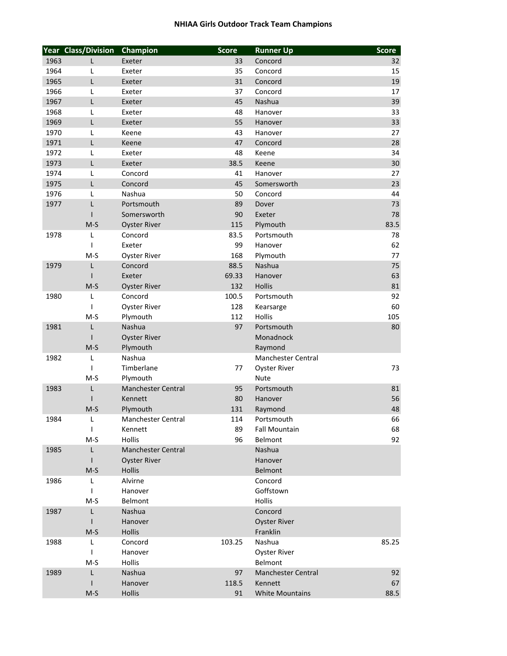## **NHIAA Girls Outdoor Track Team Champions**

| Champion<br>1963<br>Concord<br>Exeter<br>33<br>L<br>1964<br>Exeter<br>35<br>Concord<br>L<br>1965<br>31<br>L<br>Concord<br>Exeter<br>1966<br>37<br>Concord<br>L<br>Exeter<br>1967<br>45<br>Nashua<br>L<br>Exeter<br>1968<br>L<br>48<br>Hanover<br>Exeter<br>1969<br>55<br>L<br>Exeter<br>Hanover<br>1970<br>Keene<br>43<br>L<br>Hanover<br>1971<br>L<br>47<br>Keene<br>Concord<br>1972<br>48<br>L<br>Exeter<br>Keene<br>38.5<br>1973<br>L<br>Keene<br>Exeter<br>1974<br>41<br>L<br>Concord<br>Hanover<br>45<br>1975<br>L<br>Concord<br>Somersworth | 32    |
|---------------------------------------------------------------------------------------------------------------------------------------------------------------------------------------------------------------------------------------------------------------------------------------------------------------------------------------------------------------------------------------------------------------------------------------------------------------------------------------------------------------------------------------------------|-------|
|                                                                                                                                                                                                                                                                                                                                                                                                                                                                                                                                                   |       |
|                                                                                                                                                                                                                                                                                                                                                                                                                                                                                                                                                   | 15    |
|                                                                                                                                                                                                                                                                                                                                                                                                                                                                                                                                                   | 19    |
|                                                                                                                                                                                                                                                                                                                                                                                                                                                                                                                                                   | 17    |
|                                                                                                                                                                                                                                                                                                                                                                                                                                                                                                                                                   | 39    |
|                                                                                                                                                                                                                                                                                                                                                                                                                                                                                                                                                   | 33    |
|                                                                                                                                                                                                                                                                                                                                                                                                                                                                                                                                                   | 33    |
|                                                                                                                                                                                                                                                                                                                                                                                                                                                                                                                                                   | 27    |
|                                                                                                                                                                                                                                                                                                                                                                                                                                                                                                                                                   | 28    |
|                                                                                                                                                                                                                                                                                                                                                                                                                                                                                                                                                   | 34    |
|                                                                                                                                                                                                                                                                                                                                                                                                                                                                                                                                                   | 30    |
|                                                                                                                                                                                                                                                                                                                                                                                                                                                                                                                                                   | 27    |
|                                                                                                                                                                                                                                                                                                                                                                                                                                                                                                                                                   | 23    |
| 50<br>1976<br>Nashua<br>Concord<br>L                                                                                                                                                                                                                                                                                                                                                                                                                                                                                                              | 44    |
| 89<br>1977<br>Г<br>Portsmouth<br>Dover                                                                                                                                                                                                                                                                                                                                                                                                                                                                                                            | 73    |
| 90<br>Somersworth<br>Exeter<br>$\mathbf{I}$                                                                                                                                                                                                                                                                                                                                                                                                                                                                                                       | 78    |
| 115<br>$M-S$<br>Plymouth                                                                                                                                                                                                                                                                                                                                                                                                                                                                                                                          | 83.5  |
| <b>Oyster River</b><br>Concord<br>Portsmouth                                                                                                                                                                                                                                                                                                                                                                                                                                                                                                      |       |
| 83.5<br>1978<br>L<br>Exeter                                                                                                                                                                                                                                                                                                                                                                                                                                                                                                                       | 78    |
| 99<br>$\mathsf{I}$<br>Hanover                                                                                                                                                                                                                                                                                                                                                                                                                                                                                                                     | 62    |
| 168<br>$M-S$<br>Plymouth<br><b>Oyster River</b>                                                                                                                                                                                                                                                                                                                                                                                                                                                                                                   | 77    |
| 88.5<br>Nashua<br>1979<br>L<br>Concord                                                                                                                                                                                                                                                                                                                                                                                                                                                                                                            | 75    |
| 69.33<br>Exeter<br>Hanover<br>$\mathsf{l}$                                                                                                                                                                                                                                                                                                                                                                                                                                                                                                        | 63    |
| 132<br>Hollis<br>$M-S$<br><b>Oyster River</b>                                                                                                                                                                                                                                                                                                                                                                                                                                                                                                     | 81    |
| 100.5<br>1980<br>L<br>Concord<br>Portsmouth                                                                                                                                                                                                                                                                                                                                                                                                                                                                                                       | 92    |
| $\overline{\phantom{a}}$<br><b>Oyster River</b><br>128<br>Kearsarge                                                                                                                                                                                                                                                                                                                                                                                                                                                                               | 60    |
| $M-S$<br>112<br>Hollis<br>Plymouth                                                                                                                                                                                                                                                                                                                                                                                                                                                                                                                | 105   |
| Nashua<br>97<br>1981<br>Portsmouth<br>L                                                                                                                                                                                                                                                                                                                                                                                                                                                                                                           | 80    |
| <b>Oyster River</b><br>Monadnock                                                                                                                                                                                                                                                                                                                                                                                                                                                                                                                  |       |
| $M-S$<br>Plymouth<br>Raymond                                                                                                                                                                                                                                                                                                                                                                                                                                                                                                                      |       |
| L<br>1982<br>Nashua<br>Manchester Central                                                                                                                                                                                                                                                                                                                                                                                                                                                                                                         |       |
| $\mathbf{I}$<br>Timberlane<br>77<br><b>Oyster River</b>                                                                                                                                                                                                                                                                                                                                                                                                                                                                                           | 73    |
| $M-S$<br>Plymouth<br><b>Nute</b>                                                                                                                                                                                                                                                                                                                                                                                                                                                                                                                  |       |
| L<br>95<br>1983<br>Manchester Central<br>Portsmouth                                                                                                                                                                                                                                                                                                                                                                                                                                                                                               | 81    |
| 80<br>Kennett<br>Hanover                                                                                                                                                                                                                                                                                                                                                                                                                                                                                                                          | 56    |
| 131<br>$M-S$<br>Plymouth<br>Raymond                                                                                                                                                                                                                                                                                                                                                                                                                                                                                                               | 48    |
| 1984<br>L<br>Manchester Central<br>114<br>Portsmouth                                                                                                                                                                                                                                                                                                                                                                                                                                                                                              | 66    |
| $\mathbf{I}$<br>89<br><b>Fall Mountain</b><br>Kennett                                                                                                                                                                                                                                                                                                                                                                                                                                                                                             | 68    |
| $M-S$<br>Hollis<br>96<br>Belmont                                                                                                                                                                                                                                                                                                                                                                                                                                                                                                                  | 92    |
| 1985<br>L<br><b>Manchester Central</b><br>Nashua                                                                                                                                                                                                                                                                                                                                                                                                                                                                                                  |       |
| <b>Oyster River</b><br>Hanover                                                                                                                                                                                                                                                                                                                                                                                                                                                                                                                    |       |
| Hollis<br>$M-S$<br>Belmont                                                                                                                                                                                                                                                                                                                                                                                                                                                                                                                        |       |
| 1986<br>Alvirne<br>Concord<br>L                                                                                                                                                                                                                                                                                                                                                                                                                                                                                                                   |       |
| Goffstown<br>$\mathbf{I}$<br>Hanover                                                                                                                                                                                                                                                                                                                                                                                                                                                                                                              |       |
| Hollis<br>$M-S$<br>Belmont                                                                                                                                                                                                                                                                                                                                                                                                                                                                                                                        |       |
| 1987<br>L<br>Nashua<br>Concord                                                                                                                                                                                                                                                                                                                                                                                                                                                                                                                    |       |
| $\mathbf{I}$<br>Hanover<br><b>Oyster River</b>                                                                                                                                                                                                                                                                                                                                                                                                                                                                                                    |       |
| Hollis<br>Franklin<br>$M-S$                                                                                                                                                                                                                                                                                                                                                                                                                                                                                                                       |       |
| Nashua<br>1988<br>L<br>Concord<br>103.25                                                                                                                                                                                                                                                                                                                                                                                                                                                                                                          | 85.25 |
| Hanover<br><b>Oyster River</b><br>$\mathbf{I}$                                                                                                                                                                                                                                                                                                                                                                                                                                                                                                    |       |
| $M-S$<br><b>Hollis</b><br>Belmont                                                                                                                                                                                                                                                                                                                                                                                                                                                                                                                 |       |
| L<br>1989<br>Nashua<br>97<br>Manchester Central                                                                                                                                                                                                                                                                                                                                                                                                                                                                                                   | 92    |
| Hanover<br>118.5<br>Kennett                                                                                                                                                                                                                                                                                                                                                                                                                                                                                                                       | 67    |
| <b>White Mountains</b><br>$M-S$<br>Hollis<br>91                                                                                                                                                                                                                                                                                                                                                                                                                                                                                                   | 88.5  |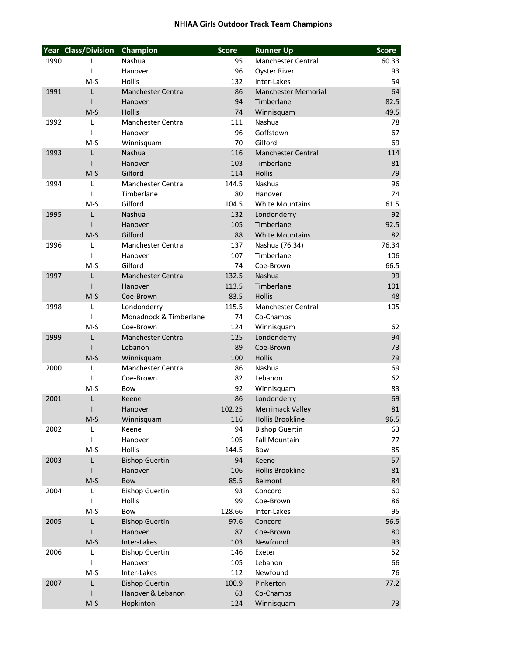## **NHIAA Girls Outdoor Track Team Champions**

|      | Year Class/Division | Champion                  | <b>Score</b> | <b>Runner Up</b>           | <b>Score</b> |
|------|---------------------|---------------------------|--------------|----------------------------|--------------|
| 1990 | L                   | Nashua                    | 95           | <b>Manchester Central</b>  | 60.33        |
|      | $\mathbf{I}$        | Hanover                   | 96           | Oyster River               | 93           |
|      | $M-S$               | <b>Hollis</b>             | 132          | Inter-Lakes                | 54           |
| 1991 | L                   | <b>Manchester Central</b> | 86           | <b>Manchester Memorial</b> | 64           |
|      | $\mathbf{I}$        | Hanover                   | 94           | Timberlane                 | 82.5         |
|      | $M-S$               | <b>Hollis</b>             | 74           | Winnisquam                 | 49.5         |
| 1992 | L                   | <b>Manchester Central</b> | 111          | Nashua                     | 78           |
|      | $\mathbf{I}$        | Hanover                   | 96           | Goffstown                  | 67           |
|      | $M-S$               | Winnisquam                | 70           | Gilford                    | 69           |
| 1993 | L                   | <b>Nashua</b>             | 116          | <b>Manchester Central</b>  | 114          |
|      | ı                   | Hanover                   | 103          | Timberlane                 | 81           |
|      | $M-S$               | Gilford                   | 114          | <b>Hollis</b>              | 79           |
| 1994 | L                   | <b>Manchester Central</b> | 144.5        | Nashua                     | 96           |
|      | $\mathbf{I}$        | Timberlane                | 80           | Hanover                    | 74           |
|      | $M-S$               | Gilford                   | 104.5        | <b>White Mountains</b>     | 61.5         |
|      | L                   | Nashua                    | 132          | Londonderry                | 92           |
| 1995 |                     |                           |              | Timberlane                 |              |
|      |                     | Hanover                   | 105          |                            | 92.5         |
|      | $M-S$               | Gilford                   | 88           | <b>White Mountains</b>     | 82           |
| 1996 | L                   | <b>Manchester Central</b> | 137          | Nashua (76.34)             | 76.34        |
|      | $\mathbf{I}$        | Hanover                   | 107          | Timberlane                 | 106          |
|      | $M-S$               | Gilford                   | 74           | Coe-Brown                  | 66.5         |
| 1997 | L                   | <b>Manchester Central</b> | 132.5        | Nashua                     | 99           |
|      | $\mathbf{I}$        | Hanover                   | 113.5        | Timberlane                 | 101          |
|      | $M-S$               | Coe-Brown                 | 83.5         | <b>Hollis</b>              | 48           |
| 1998 | L                   | Londonderry               | 115.5        | <b>Manchester Central</b>  | 105          |
|      | $\mathbf{I}$        | Monadnock & Timberlane    | 74           | Co-Champs                  |              |
|      | $M-S$               | Coe-Brown                 | 124          | Winnisquam                 | 62           |
| 1999 | L                   | <b>Manchester Central</b> | 125          | Londonderry                | 94           |
|      |                     | Lebanon                   | 89           | Coe-Brown                  | 73           |
|      | $M-S$               | Winnisquam                | 100          | <b>Hollis</b>              | 79           |
| 2000 | L                   | <b>Manchester Central</b> | 86           | Nashua                     | 69           |
|      | $\mathbf{I}$        | Coe-Brown                 | 82           | Lebanon                    | 62           |
|      | $M-S$               | Bow                       | 92           | Winnisquam                 | 83           |
| 2001 | L                   | Keene                     | 86           | Londonderry                | 69           |
|      | I                   | Hanover                   | 102.25       | <b>Merrimack Valley</b>    | 81           |
|      | $M-S$               | Winnisquam                | 116          | Hollis Brookline           | 96.5         |
| 2002 | L                   | Keene                     | 94           | <b>Bishop Guertin</b>      | 63           |
|      | $\mathbf{I}$        | Hanover                   | 105          | <b>Fall Mountain</b>       | 77           |
|      | $M-S$               | Hollis                    | 144.5        | Bow                        | 85           |
| 2003 | L                   | <b>Bishop Guertin</b>     | 94           | Keene                      | 57           |
|      |                     | Hanover                   | 106          | <b>Hollis Brookline</b>    | 81           |
|      | $M-S$               | Bow                       | 85.5         | Belmont                    | 84           |
| 2004 | L                   | <b>Bishop Guertin</b>     | 93           | Concord                    | 60           |
|      | $\mathbf{I}$        | Hollis                    | 99           | Coe-Brown                  | 86           |
|      | $M-S$               | Bow                       | 128.66       | Inter-Lakes                | 95           |
| 2005 | L                   | <b>Bishop Guertin</b>     | 97.6         | Concord                    | 56.5         |
|      | $\mathbf{I}$        | Hanover                   | 87           | Coe-Brown                  |              |
|      |                     |                           |              |                            | 80           |
|      | $M-S$               | Inter-Lakes               | 103          | Newfound                   | 93           |
| 2006 | L                   | <b>Bishop Guertin</b>     | 146          | Exeter                     | 52           |
|      | $\mathbf{I}$        | Hanover                   | 105          | Lebanon                    | 66           |
|      | $M-S$               | Inter-Lakes               | 112          | Newfound                   | 76           |
| 2007 | L                   | <b>Bishop Guertin</b>     | 100.9        | Pinkerton                  | 77.2         |
|      |                     | Hanover & Lebanon         | 63           | Co-Champs                  |              |
|      | $M-S$               | Hopkinton                 | 124          | Winnisquam                 | 73           |